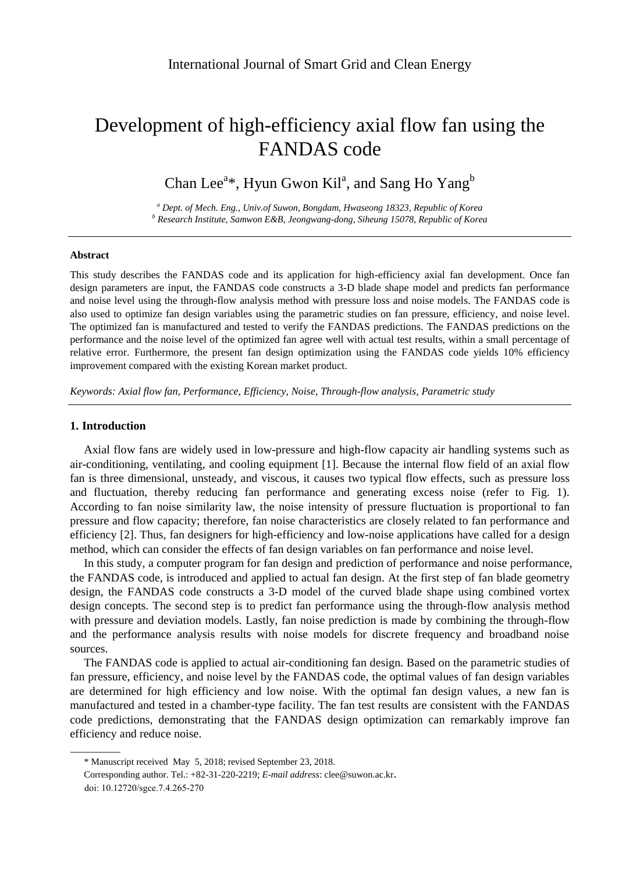# Development of high-efficiency axial flow fan using the FANDAS code

## Chan Lee<sup>a\*</sup>, Hyun Gwon Kil<sup>a</sup>, and Sang Ho Yang<sup>b</sup>

*<sup>a</sup> Dept. of Mech. Eng., Univ.of Suwon, Bongdam, Hwaseong 18323, Republic of Korea <sup>b</sup> Research Institute, Samwon E&B, Jeongwang-dong, Siheung 15078, Republic of Korea*

#### **Abstract**

This study describes the FANDAS code and its application for high-efficiency axial fan development. Once fan design parameters are input, the FANDAS code constructs a 3-D blade shape model and predicts fan performance and noise level using the through-flow analysis method with pressure loss and noise models. The FANDAS code is also used to optimize fan design variables using the parametric studies on fan pressure, efficiency, and noise level. The optimized fan is manufactured and tested to verify the FANDAS predictions. The FANDAS predictions on the performance and the noise level of the optimized fan agree well with actual test results, within a small percentage of relative error. Furthermore, the present fan design optimization using the FANDAS code yields 10% efficiency improvement compared with the existing Korean market product.

*Keywords: Axial flow fan, Performance, Efficiency, Noise, Through-flow analysis, Parametric study*

#### **1. Introduction**

Axial flow fans are widely used in low-pressure and high-flow capacity air handling systems such as air-conditioning, ventilating, and cooling equipment [1]. Because the internal flow field of an axial flow fan is three dimensional, unsteady, and viscous, it causes two typical flow effects, such as pressure loss and fluctuation, thereby reducing fan performance and generating excess noise (refer to Fig. 1). According to fan noise similarity law, the noise intensity of pressure fluctuation is proportional to fan pressure and flow capacity; therefore, fan noise characteristics are closely related to fan performance and efficiency [2]. Thus, fan designers for high-efficiency and low-noise applications have called for a design method, which can consider the effects of fan design variables on fan performance and noise level.

In this study, a computer program for fan design and prediction of performance and noise performance, the FANDAS code, is introduced and applied to actual fan design. At the first step of fan blade geometry design, the FANDAS code constructs a 3-D model of the curved blade shape using combined vortex design concepts. The second step is to predict fan performance using the through-flow analysis method with pressure and deviation models. Lastly, fan noise prediction is made by combining the through-flow and the performance analysis results with noise models for discrete frequency and broadband noise sources.

The FANDAS code is applied to actual air-conditioning fan design. Based on the parametric studies of fan pressure, efficiency, and noise level by the FANDAS code, the optimal values of fan design variables are determined for high efficiency and low noise. With the optimal fan design values, a new fan is manufactured and tested in a chamber-type facility. The fan test results are consistent with the FANDAS code predictions, demonstrating that the FANDAS design optimization can remarkably improve fan efficiency and reduce noise.

<sup>\*</sup> Manuscript received May 5, 2018; revised September 23, 2018.

Corresponding author. Tel.: +82-31-220-2219; *E-mail address*: clee@suwon.ac.kr.

doi: 10.12720/sgce.7.4.265-270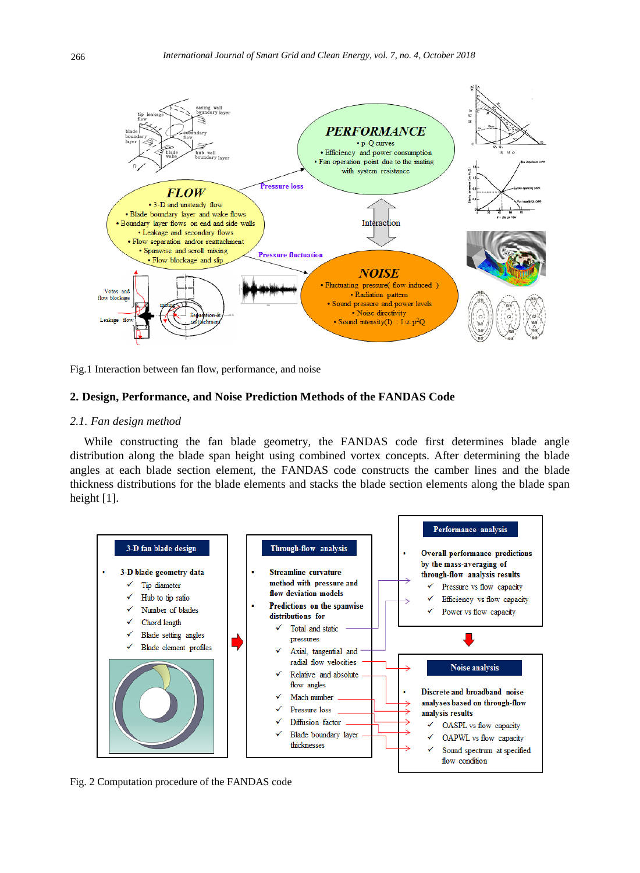

Fig.1 Interaction between fan flow, performance, and noise

### **2. Design, Performance, and Noise Prediction Methods of the FANDAS Code**

#### *2.1. Fan design method*

While constructing the fan blade geometry, the FANDAS code first determines blade angle distribution along the blade span height using combined vortex concepts. After determining the blade angles at each blade section element, the FANDAS code constructs the camber lines and the blade thickness distributions for the blade elements and stacks the blade section elements along the blade span height [1].



Fig. 2 Computation procedure of the FANDAS code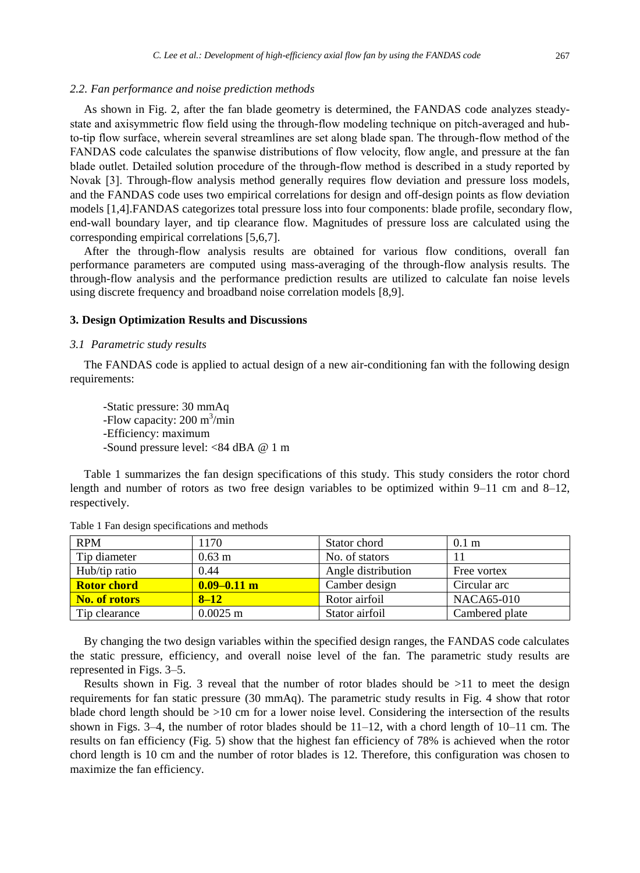#### *2.2. Fan performance and noise prediction methods*

As shown in Fig. 2, after the fan blade geometry is determined, the FANDAS code analyzes steadystate and axisymmetric flow field using the through-flow modeling technique on pitch-averaged and hubto-tip flow surface, wherein several streamlines are set along blade span. The through-flow method of the FANDAS code calculates the spanwise distributions of flow velocity, flow angle, and pressure at the fan blade outlet. Detailed solution procedure of the through-flow method is described in a study reported by Novak [3]. Through-flow analysis method generally requires flow deviation and pressure loss models, and the FANDAS code uses two empirical correlations for design and off-design points as flow deviation models [1,4].FANDAS categorizes total pressure loss into four components: blade profile, secondary flow, end-wall boundary layer, and tip clearance flow. Magnitudes of pressure loss are calculated using the corresponding empirical correlations [5,6,7].

After the through-flow analysis results are obtained for various flow conditions, overall fan performance parameters are computed using mass-averaging of the through-flow analysis results. The through-flow analysis and the performance prediction results are utilized to calculate fan noise levels using discrete frequency and broadband noise correlation models [8,9].

#### **3. Design Optimization Results and Discussions**

#### *3.1 Parametric study results*

The FANDAS code is applied to actual design of a new air-conditioning fan with the following design requirements:

-Static pressure: 30 mmAq -Flow capacity: 200 m<sup>3</sup>/min -Efficiency: maximum -Sound pressure level: <84 dBA @ 1 m

Table 1 summarizes the fan design specifications of this study. This study considers the rotor chord length and number of rotors as two free design variables to be optimized within  $9-11$  cm and  $8-12$ , respectively.

| <b>RPM</b>         | 1170                 | Stator chord       | 0.1 <sub>m</sub> |
|--------------------|----------------------|--------------------|------------------|
| Tip diameter       | $0.63 \; \mathrm{m}$ | No. of stators     |                  |
| Hub/tip ratio      | 0.44                 | Angle distribution | Free vortex      |
| <b>Rotor chord</b> | $0.09 - 0.11$ m      | Camber design      | Circular arc     |
| No. of rotors      | $8 - 12$             | Rotor airfoil      | NACA65-010       |
| Tip clearance      | $0.0025$ m           | Stator airfoil     | Cambered plate   |

Table 1 Fan design specifications and methods

By changing the two design variables within the specified design ranges, the FANDAS code calculates the static pressure, efficiency, and overall noise level of the fan. The parametric study results are represented in Figs. 3–5.

Results shown in Fig. 3 reveal that the number of rotor blades should be  $>11$  to meet the design requirements for fan static pressure (30 mmAq). The parametric study results in Fig. 4 show that rotor blade chord length should be >10 cm for a lower noise level. Considering the intersection of the results shown in Figs. 3–4, the number of rotor blades should be  $11-12$ , with a chord length of  $10-11$  cm. The results on fan efficiency (Fig. 5) show that the highest fan efficiency of 78% is achieved when the rotor chord length is 10 cm and the number of rotor blades is 12. Therefore, this configuration was chosen to maximize the fan efficiency.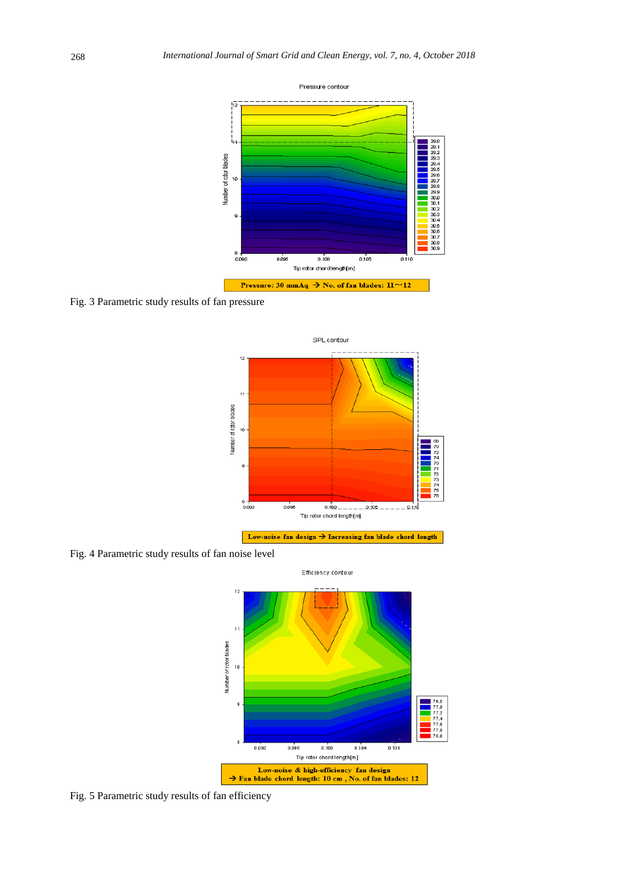

Fig. 3 Parametric study results of fan pressure



Fig. 4 Parametric study results of fan noise level



Fig. 5 Parametric study results of fan efficiency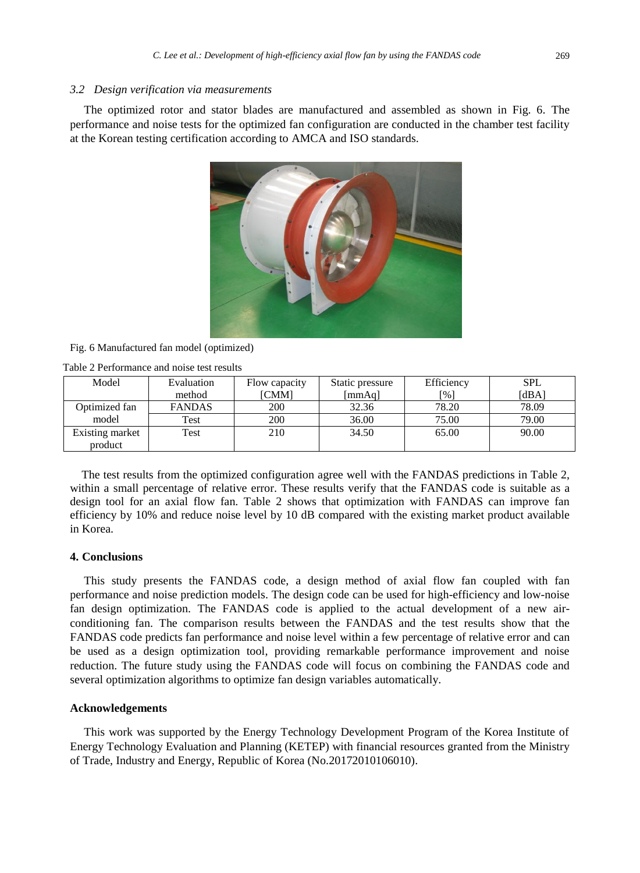#### *3.2 Design verification via measurements*

The optimized rotor and stator blades are manufactured and assembled as shown in Fig. 6. The performance and noise tests for the optimized fan configuration are conducted in the chamber test facility at the Korean testing certification according to AMCA and ISO standards.



#### Fig. 6 Manufactured fan model (optimized)

| Table 2 Performance and noise test results |  |  |
|--------------------------------------------|--|--|
|                                            |  |  |

| Model           | Evaluation    | Flow capacity | Static pressure | Efficiency | <b>SPL</b> |
|-----------------|---------------|---------------|-----------------|------------|------------|
|                 | method        | <b>[CMM]</b>  | [mmAq]          | [%]        | [dBA]      |
| Optimized fan   | <b>FANDAS</b> | 200           | 32.36           | 78.20      | 78.09      |
| model           | Test          | 200           | 36.00           | 75.00      | 79.00      |
| Existing market | Test          | 210           | 34.50           | 65.00      | 90.00      |
| product         |               |               |                 |            |            |

The test results from the optimized configuration agree well with the FANDAS predictions in Table 2, within a small percentage of relative error. These results verify that the FANDAS code is suitable as a design tool for an axial flow fan. Table 2 shows that optimization with FANDAS can improve fan efficiency by 10% and reduce noise level by 10 dB compared with the existing market product available in Korea.

## **4. Conclusions**

This study presents the FANDAS code, a design method of axial flow fan coupled with fan performance and noise prediction models. The design code can be used for high-efficiency and low-noise fan design optimization. The FANDAS code is applied to the actual development of a new airconditioning fan. The comparison results between the FANDAS and the test results show that the FANDAS code predicts fan performance and noise level within a few percentage of relative error and can be used as a design optimization tool, providing remarkable performance improvement and noise reduction. The future study using the FANDAS code will focus on combining the FANDAS code and several optimization algorithms to optimize fan design variables automatically.

#### **Acknowledgements**

This work was supported by the Energy Technology Development Program of the Korea Institute of Energy Technology Evaluation and Planning (KETEP) with financial resources granted from the Ministry of Trade, Industry and Energy, Republic of Korea (No.20172010106010).